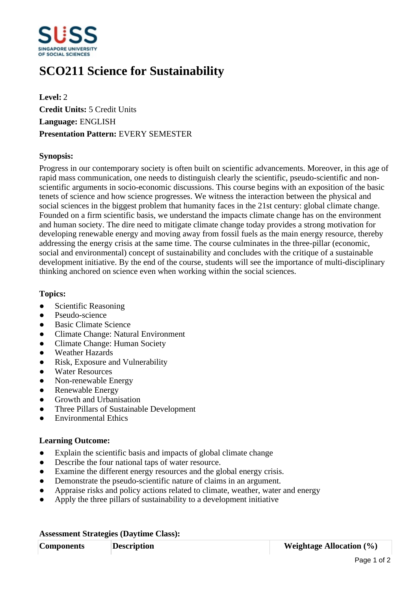

# **SCO211 Science for Sustainability**

**Level:** 2 **Credit Units:** 5 Credit Units **Language:** ENGLISH **Presentation Pattern:** EVERY SEMESTER

# **Synopsis:**

Progress in our contemporary society is often built on scientific advancements. Moreover, in this age of rapid mass communication, one needs to distinguish clearly the scientific, pseudo-scientific and nonscientific arguments in socio-economic discussions. This course begins with an exposition of the basic tenets of science and how science progresses. We witness the interaction between the physical and social sciences in the biggest problem that humanity faces in the 21st century: global climate change. Founded on a firm scientific basis, we understand the impacts climate change has on the environment and human society. The dire need to mitigate climate change today provides a strong motivation for developing renewable energy and moving away from fossil fuels as the main energy resource, thereby addressing the energy crisis at the same time. The course culminates in the three-pillar (economic, social and environmental) concept of sustainability and concludes with the critique of a sustainable development initiative. By the end of the course, students will see the importance of multi-disciplinary thinking anchored on science even when working within the social sciences.

## **Topics:**

- Scientific Reasoning
- Pseudo-science
- Basic Climate Science
- Climate Change: Natural Environment
- Climate Change: Human Society
- Weather Hazards
- Risk, Exposure and Vulnerability
- Water Resources
- Non-renewable Energy
- Renewable Energy
- Growth and Urbanisation
- Three Pillars of Sustainable Development
- ƔEnvironmental Ethics

### **Learning Outcome:**

- Explain the scientific basis and impacts of global climate change
- Describe the four national taps of water resource.
- Examine the different energy resources and the global energy crisis.
- Demonstrate the pseudo-scientific nature of claims in an argument.
- Appraise risks and policy actions related to climate, weather, water and energy
- Apply the three pillars of sustainability to a development initiative

### **Assessment Strategies (Daytime Class):**